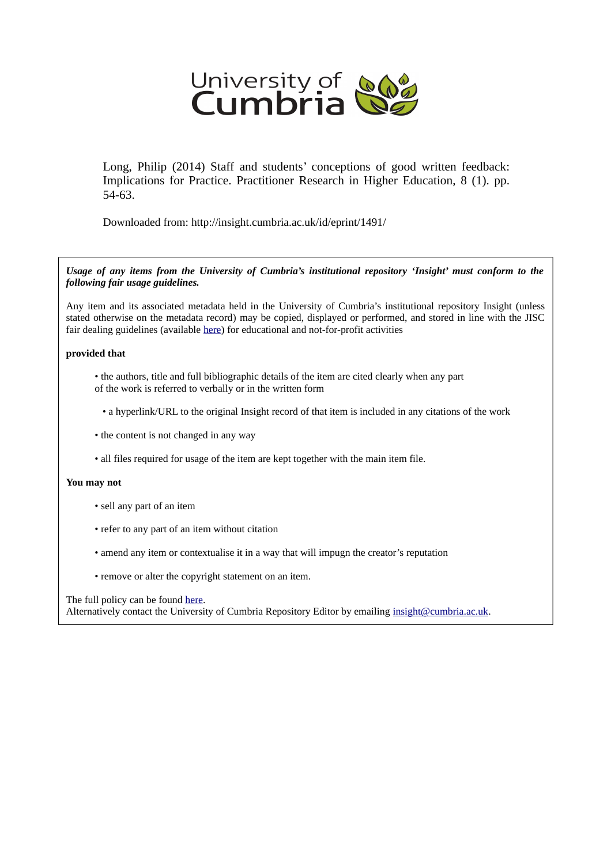

Long, Philip (2014) Staff and students' conceptions of good written feedback: Implications for Practice. Practitioner Research in Higher Education, 8 (1). pp. 54-63.

Downloaded from: http://insight.cumbria.ac.uk/id/eprint/1491/

*Usage of any items from the University of Cumbria's institutional repository 'Insight' must conform to the following fair usage guidelines.*

Any item and its associated metadata held in the University of Cumbria's institutional repository Insight (unless stated otherwise on the metadata record) may be copied, displayed or performed, and stored in line with the JISC fair dealing guidelines (available [here\)](http://www.ukoln.ac.uk/services/elib/papers/pa/fair/) for educational and not-for-profit activities

#### **provided that**

- the authors, title and full bibliographic details of the item are cited clearly when any part of the work is referred to verbally or in the written form
	- a hyperlink/URL to the original Insight record of that item is included in any citations of the work
- the content is not changed in any way
- all files required for usage of the item are kept together with the main item file.

#### **You may not**

- sell any part of an item
- refer to any part of an item without citation
- amend any item or contextualise it in a way that will impugn the creator's reputation
- remove or alter the copyright statement on an item.

#### The full policy can be found [here.](http://insight.cumbria.ac.uk/legal.html#section5)

Alternatively contact the University of Cumbria Repository Editor by emailing [insight@cumbria.ac.uk.](mailto:insight@cumbria.ac.uk)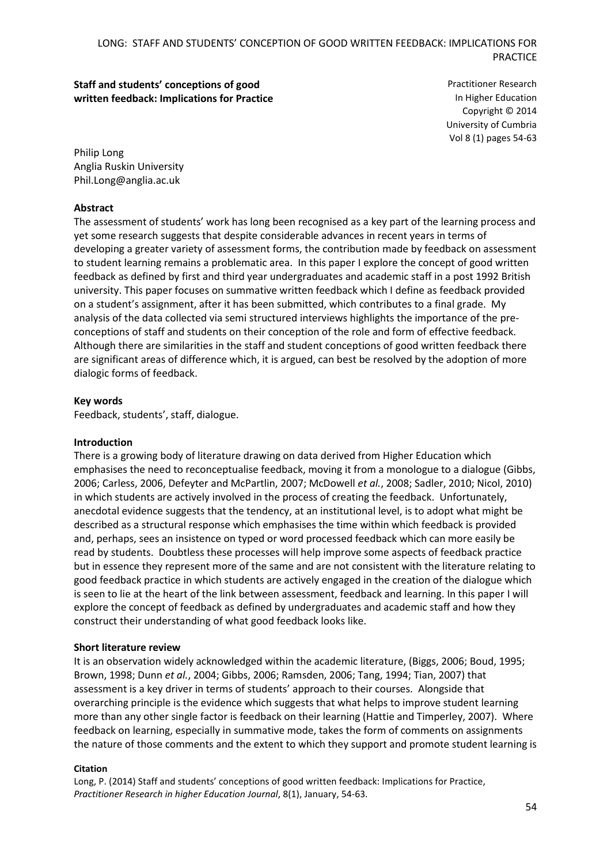# **Staff and students' conceptions of good written feedback: Implications for Practice**

Practitioner Research In Higher Education Copyright © 2014 University of Cumbria Vol 8 (1) pages 54-63

Philip Long Anglia Ruskin University Phil.Long@anglia.ac.uk

# **Abstract**

The assessment of students' work has long been recognised as a key part of the learning process and yet some research suggests that despite considerable advances in recent years in terms of developing a greater variety of assessment forms, the contribution made by feedback on assessment to student learning remains a problematic area. In this paper I explore the concept of good written feedback as defined by first and third year undergraduates and academic staff in a post 1992 British university. This paper focuses on summative written feedback which I define as feedback provided on a student's assignment, after it has been submitted, which contributes to a final grade. My analysis of the data collected via semi structured interviews highlights the importance of the preconceptions of staff and students on their conception of the role and form of effective feedback. Although there are similarities in the staff and student conceptions of good written feedback there are significant areas of difference which, it is argued, can best be resolved by the adoption of more dialogic forms of feedback.

### **Key words**

Feedback, students', staff, dialogue.

#### **Introduction**

There is a growing body of literature drawing on data derived from Higher Education which emphasises the need to reconceptualise feedback, moving it from a monologue to a dialogue (Gibbs, 2006; Carless, 2006, Defeyter and McPartlin, 2007; McDowell *et al.*, 2008; Sadler, 2010; Nicol, 2010) in which students are actively involved in the process of creating the feedback. Unfortunately, anecdotal evidence suggests that the tendency, at an institutional level, is to adopt what might be described as a structural response which emphasises the time within which feedback is provided and, perhaps, sees an insistence on typed or word processed feedback which can more easily be read by students. Doubtless these processes will help improve some aspects of feedback practice but in essence they represent more of the same and are not consistent with the literature relating to good feedback practice in which students are actively engaged in the creation of the dialogue which is seen to lie at the heart of the link between assessment, feedback and learning. In this paper I will explore the concept of feedback as defined by undergraduates and academic staff and how they construct their understanding of what good feedback looks like.

#### **Short literature review**

It is an observation widely acknowledged within the academic literature, (Biggs, 2006; Boud, 1995; Brown, 1998; Dunn *et al.*, 2004; Gibbs, 2006; Ramsden, 2006; Tang, 1994; Tian, 2007) that assessment is a key driver in terms of students' approach to their courses. Alongside that overarching principle is the evidence which suggests that what helps to improve student learning more than any other single factor is feedback on their learning (Hattie and Timperley, 2007). Where feedback on learning, especially in summative mode, takes the form of comments on assignments the nature of those comments and the extent to which they support and promote student learning is

#### **Citation**

Long, P. (2014) Staff and students' conceptions of good written feedback: Implications for Practice, *Practitioner Research in higher Education Journal*, 8(1), January, 54-63.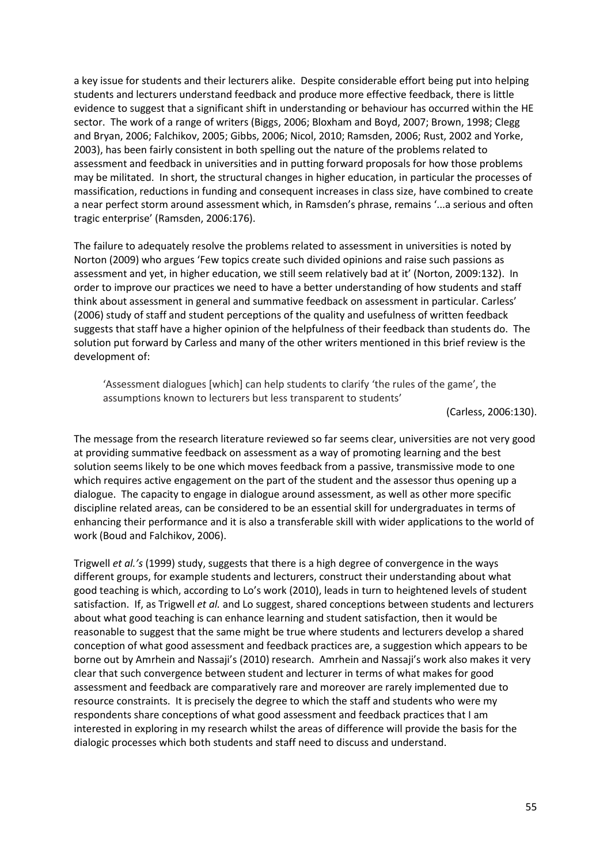a key issue for students and their lecturers alike. Despite considerable effort being put into helping students and lecturers understand feedback and produce more effective feedback, there is little evidence to suggest that a significant shift in understanding or behaviour has occurred within the HE sector. The work of a range of writers (Biggs, 2006; Bloxham and Boyd, 2007; Brown, 1998; Clegg and Bryan, 2006; Falchikov, 2005; Gibbs, 2006; Nicol, 2010; Ramsden, 2006; Rust, 2002 and Yorke, 2003), has been fairly consistent in both spelling out the nature of the problems related to assessment and feedback in universities and in putting forward proposals for how those problems may be militated. In short, the structural changes in higher education, in particular the processes of massification, reductions in funding and consequent increases in class size, have combined to create a near perfect storm around assessment which, in Ramsden's phrase, remains '...a serious and often tragic enterprise' (Ramsden, 2006:176).

The failure to adequately resolve the problems related to assessment in universities is noted by Norton (2009) who argues 'Few topics create such divided opinions and raise such passions as assessment and yet, in higher education, we still seem relatively bad at it' (Norton, 2009:132). In order to improve our practices we need to have a better understanding of how students and staff think about assessment in general and summative feedback on assessment in particular. Carless' (2006) study of staff and student perceptions of the quality and usefulness of written feedback suggests that staff have a higher opinion of the helpfulness of their feedback than students do. The solution put forward by Carless and many of the other writers mentioned in this brief review is the development of:

'Assessment dialogues [which] can help students to clarify 'the rules of the game', the assumptions known to lecturers but less transparent to students'

(Carless, 2006:130).

The message from the research literature reviewed so far seems clear, universities are not very good at providing summative feedback on assessment as a way of promoting learning and the best solution seems likely to be one which moves feedback from a passive, transmissive mode to one which requires active engagement on the part of the student and the assessor thus opening up a dialogue. The capacity to engage in dialogue around assessment, as well as other more specific discipline related areas, can be considered to be an essential skill for undergraduates in terms of enhancing their performance and it is also a transferable skill with wider applications to the world of work (Boud and Falchikov, 2006).

Trigwell *et al.'s* (1999) study, suggests that there is a high degree of convergence in the ways different groups, for example students and lecturers, construct their understanding about what good teaching is which, according to Lo's work (2010), leads in turn to heightened levels of student satisfaction. If, as Trigwell *et al.* and Lo suggest, shared conceptions between students and lecturers about what good teaching is can enhance learning and student satisfaction, then it would be reasonable to suggest that the same might be true where students and lecturers develop a shared conception of what good assessment and feedback practices are, a suggestion which appears to be borne out by Amrhein and Nassaji's (2010) research. Amrhein and Nassaji's work also makes it very clear that such convergence between student and lecturer in terms of what makes for good assessment and feedback are comparatively rare and moreover are rarely implemented due to resource constraints. It is precisely the degree to which the staff and students who were my respondents share conceptions of what good assessment and feedback practices that I am interested in exploring in my research whilst the areas of difference will provide the basis for the dialogic processes which both students and staff need to discuss and understand.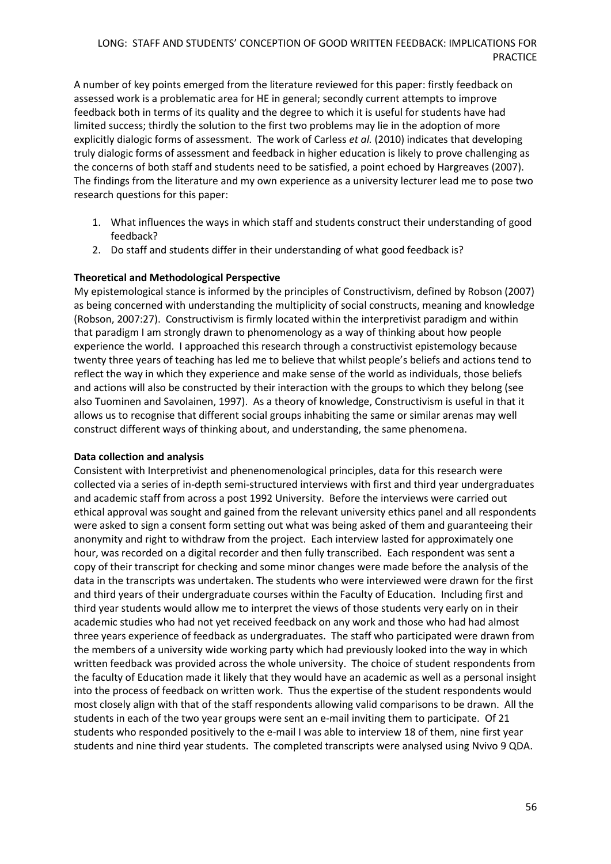A number of key points emerged from the literature reviewed for this paper: firstly feedback on assessed work is a problematic area for HE in general; secondly current attempts to improve feedback both in terms of its quality and the degree to which it is useful for students have had limited success; thirdly the solution to the first two problems may lie in the adoption of more explicitly dialogic forms of assessment. The work of Carless *et al.* (2010) indicates that developing truly dialogic forms of assessment and feedback in higher education is likely to prove challenging as the concerns of both staff and students need to be satisfied, a point echoed by Hargreaves (2007). The findings from the literature and my own experience as a university lecturer lead me to pose two research questions for this paper:

- 1. What influences the ways in which staff and students construct their understanding of good feedback?
- 2. Do staff and students differ in their understanding of what good feedback is?

### **Theoretical and Methodological Perspective**

My epistemological stance is informed by the principles of Constructivism, defined by Robson (2007) as being concerned with understanding the multiplicity of social constructs, meaning and knowledge (Robson, 2007:27). Constructivism is firmly located within the interpretivist paradigm and within that paradigm I am strongly drawn to phenomenology as a way of thinking about how people experience the world. I approached this research through a constructivist epistemology because twenty three years of teaching has led me to believe that whilst people's beliefs and actions tend to reflect the way in which they experience and make sense of the world as individuals, those beliefs and actions will also be constructed by their interaction with the groups to which they belong (see also Tuominen and Savolainen, 1997). As a theory of knowledge, Constructivism is useful in that it allows us to recognise that different social groups inhabiting the same or similar arenas may well construct different ways of thinking about, and understanding, the same phenomena.

#### **Data collection and analysis**

Consistent with Interpretivist and phenenomenological principles, data for this research were collected via a series of in-depth semi-structured interviews with first and third year undergraduates and academic staff from across a post 1992 University. Before the interviews were carried out ethical approval was sought and gained from the relevant university ethics panel and all respondents were asked to sign a consent form setting out what was being asked of them and guaranteeing their anonymity and right to withdraw from the project. Each interview lasted for approximately one hour, was recorded on a digital recorder and then fully transcribed. Each respondent was sent a copy of their transcript for checking and some minor changes were made before the analysis of the data in the transcripts was undertaken. The students who were interviewed were drawn for the first and third years of their undergraduate courses within the Faculty of Education. Including first and third year students would allow me to interpret the views of those students very early on in their academic studies who had not yet received feedback on any work and those who had had almost three years experience of feedback as undergraduates. The staff who participated were drawn from the members of a university wide working party which had previously looked into the way in which written feedback was provided across the whole university. The choice of student respondents from the faculty of Education made it likely that they would have an academic as well as a personal insight into the process of feedback on written work. Thus the expertise of the student respondents would most closely align with that of the staff respondents allowing valid comparisons to be drawn. All the students in each of the two year groups were sent an e-mail inviting them to participate. Of 21 students who responded positively to the e-mail I was able to interview 18 of them, nine first year students and nine third year students. The completed transcripts were analysed using Nvivo 9 QDA.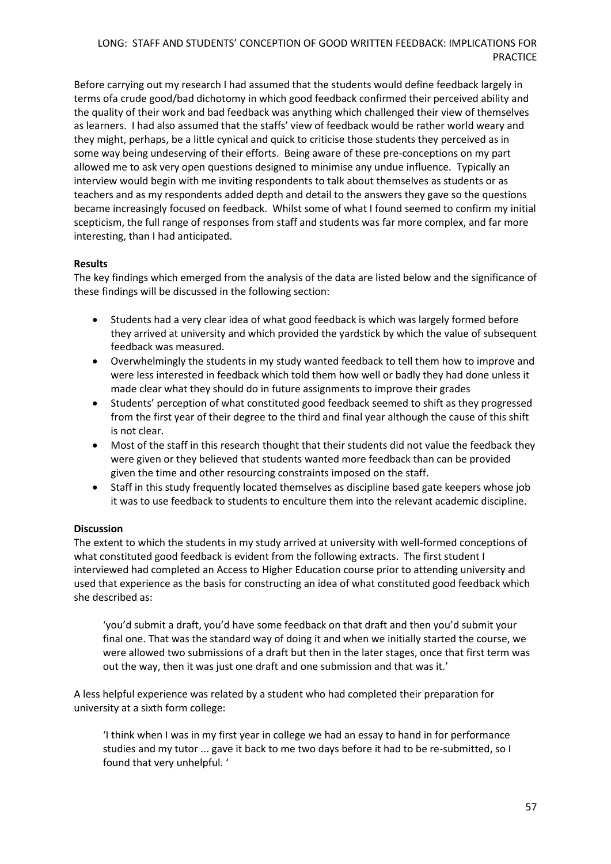Before carrying out my research I had assumed that the students would define feedback largely in terms ofa crude good/bad dichotomy in which good feedback confirmed their perceived ability and the quality of their work and bad feedback was anything which challenged their view of themselves as learners. I had also assumed that the staffs' view of feedback would be rather world weary and they might, perhaps, be a little cynical and quick to criticise those students they perceived as in some way being undeserving of their efforts. Being aware of these pre-conceptions on my part allowed me to ask very open questions designed to minimise any undue influence. Typically an interview would begin with me inviting respondents to talk about themselves as students or as teachers and as my respondents added depth and detail to the answers they gave so the questions became increasingly focused on feedback. Whilst some of what I found seemed to confirm my initial scepticism, the full range of responses from staff and students was far more complex, and far more interesting, than I had anticipated.

# **Results**

The key findings which emerged from the analysis of the data are listed below and the significance of these findings will be discussed in the following section:

- Students had a very clear idea of what good feedback is which was largely formed before they arrived at university and which provided the yardstick by which the value of subsequent feedback was measured.
- Overwhelmingly the students in my study wanted feedback to tell them how to improve and were less interested in feedback which told them how well or badly they had done unless it made clear what they should do in future assignments to improve their grades
- Students' perception of what constituted good feedback seemed to shift as they progressed from the first year of their degree to the third and final year although the cause of this shift is not clear.
- Most of the staff in this research thought that their students did not value the feedback they were given or they believed that students wanted more feedback than can be provided given the time and other resourcing constraints imposed on the staff.
- Staff in this study frequently located themselves as discipline based gate keepers whose job it was to use feedback to students to enculture them into the relevant academic discipline.

#### **Discussion**

The extent to which the students in my study arrived at university with well-formed conceptions of what constituted good feedback is evident from the following extracts. The first student I interviewed had completed an Access to Higher Education course prior to attending university and used that experience as the basis for constructing an idea of what constituted good feedback which she described as:

'you'd submit a draft, you'd have some feedback on that draft and then you'd submit your final one. That was the standard way of doing it and when we initially started the course, we were allowed two submissions of a draft but then in the later stages, once that first term was out the way, then it was just one draft and one submission and that was it.'

A less helpful experience was related by a student who had completed their preparation for university at a sixth form college:

'I think when I was in my first year in college we had an essay to hand in for performance studies and my tutor ... gave it back to me two days before it had to be re-submitted, so I found that very unhelpful. '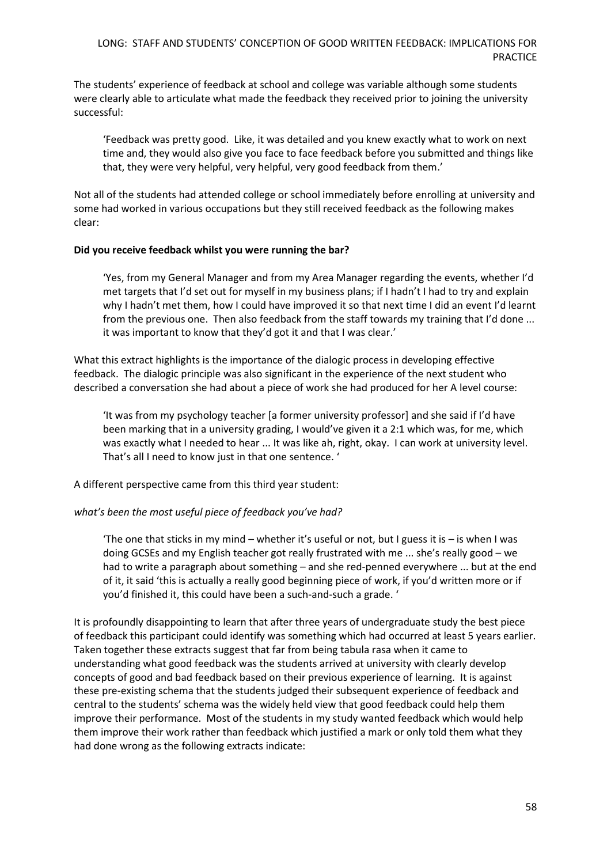The students' experience of feedback at school and college was variable although some students were clearly able to articulate what made the feedback they received prior to joining the university successful:

'Feedback was pretty good. Like, it was detailed and you knew exactly what to work on next time and, they would also give you face to face feedback before you submitted and things like that, they were very helpful, very helpful, very good feedback from them.'

Not all of the students had attended college or school immediately before enrolling at university and some had worked in various occupations but they still received feedback as the following makes clear:

#### **Did you receive feedback whilst you were running the bar?**

'Yes, from my General Manager and from my Area Manager regarding the events, whether I'd met targets that I'd set out for myself in my business plans; if I hadn't I had to try and explain why I hadn't met them, how I could have improved it so that next time I did an event I'd learnt from the previous one. Then also feedback from the staff towards my training that I'd done ... it was important to know that they'd got it and that I was clear.'

What this extract highlights is the importance of the dialogic process in developing effective feedback. The dialogic principle was also significant in the experience of the next student who described a conversation she had about a piece of work she had produced for her A level course:

'It was from my psychology teacher [a former university professor] and she said if I'd have been marking that in a university grading, I would've given it a 2:1 which was, for me, which was exactly what I needed to hear ... It was like ah, right, okay. I can work at university level. That's all I need to know just in that one sentence. '

A different perspective came from this third year student:

#### *what's been the most useful piece of feedback you've had?*

'The one that sticks in my mind – whether it's useful or not, but I guess it is – is when I was doing GCSEs and my English teacher got really frustrated with me ... she's really good – we had to write a paragraph about something – and she red-penned everywhere ... but at the end of it, it said 'this is actually a really good beginning piece of work, if you'd written more or if you'd finished it, this could have been a such-and-such a grade. '

It is profoundly disappointing to learn that after three years of undergraduate study the best piece of feedback this participant could identify was something which had occurred at least 5 years earlier. Taken together these extracts suggest that far from being tabula rasa when it came to understanding what good feedback was the students arrived at university with clearly develop concepts of good and bad feedback based on their previous experience of learning. It is against these pre-existing schema that the students judged their subsequent experience of feedback and central to the students' schema was the widely held view that good feedback could help them improve their performance. Most of the students in my study wanted feedback which would help them improve their work rather than feedback which justified a mark or only told them what they had done wrong as the following extracts indicate: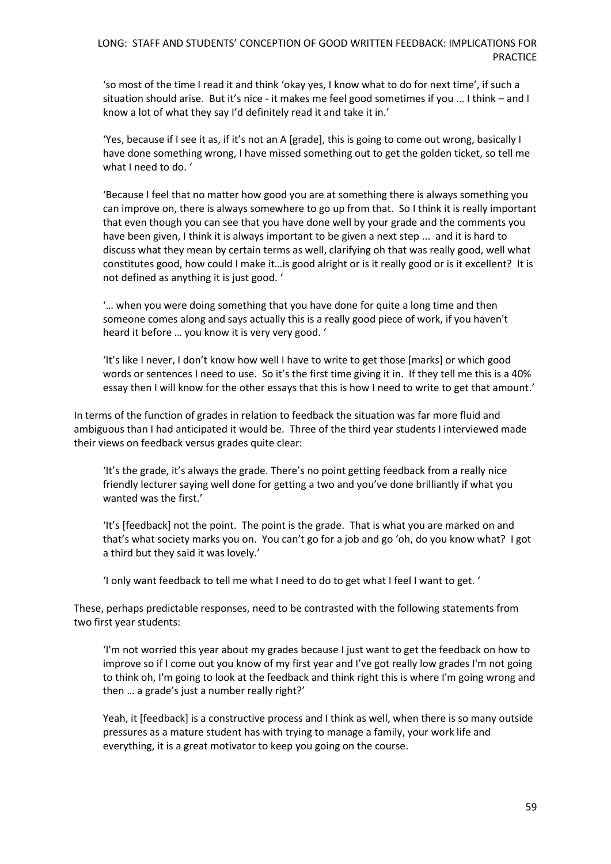'so most of the time I read it and think 'okay yes, I know what to do for next time', if such a situation should arise. But it's nice - it makes me feel good sometimes if you ... I think – and I know a lot of what they say I'd definitely read it and take it in.'

'Yes, because if I see it as, if it's not an A [grade], this is going to come out wrong, basically I have done something wrong, I have missed something out to get the golden ticket, so tell me what I need to do. '

'Because I feel that no matter how good you are at something there is always something you can improve on, there is always somewhere to go up from that. So I think it is really important that even though you can see that you have done well by your grade and the comments you have been given, I think it is always important to be given a next step ... and it is hard to discuss what they mean by certain terms as well, clarifying oh that was really good, well what constitutes good, how could I make it…is good alright or is it really good or is it excellent? It is not defined as anything it is just good. '

'… when you were doing something that you have done for quite a long time and then someone comes along and says actually this is a really good piece of work, if you haven't heard it before … you know it is very very good. '

'It's like I never, I don't know how well I have to write to get those [marks] or which good words or sentences I need to use. So it's the first time giving it in. If they tell me this is a 40% essay then I will know for the other essays that this is how I need to write to get that amount.'

In terms of the function of grades in relation to feedback the situation was far more fluid and ambiguous than I had anticipated it would be. Three of the third year students I interviewed made their views on feedback versus grades quite clear:

'It's the grade, it's always the grade. There's no point getting feedback from a really nice friendly lecturer saying well done for getting a two and you've done brilliantly if what you wanted was the first.'

'It's [feedback] not the point. The point is the grade. That is what you are marked on and that's what society marks you on. You can't go for a job and go 'oh, do you know what? I got a third but they said it was lovely.'

'I only want feedback to tell me what I need to do to get what I feel I want to get. '

These, perhaps predictable responses, need to be contrasted with the following statements from two first year students:

'I'm not worried this year about my grades because I just want to get the feedback on how to improve so if I come out you know of my first year and I've got really low grades I'm not going to think oh, I'm going to look at the feedback and think right this is where I'm going wrong and then … a grade's just a number really right?'

Yeah, it [feedback] is a constructive process and I think as well, when there is so many outside pressures as a mature student has with trying to manage a family, your work life and everything, it is a great motivator to keep you going on the course.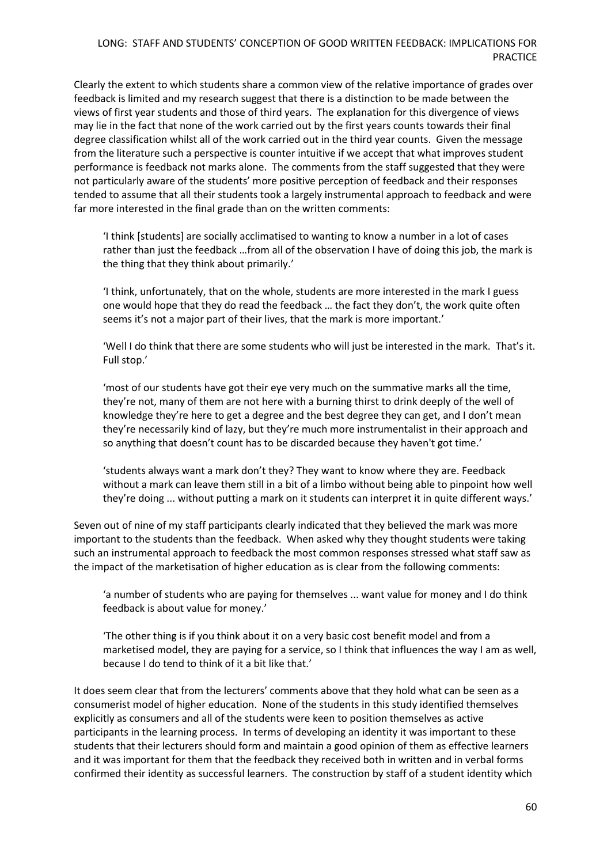Clearly the extent to which students share a common view of the relative importance of grades over feedback is limited and my research suggest that there is a distinction to be made between the views of first year students and those of third years. The explanation for this divergence of views may lie in the fact that none of the work carried out by the first years counts towards their final degree classification whilst all of the work carried out in the third year counts. Given the message from the literature such a perspective is counter intuitive if we accept that what improves student performance is feedback not marks alone. The comments from the staff suggested that they were not particularly aware of the students' more positive perception of feedback and their responses tended to assume that all their students took a largely instrumental approach to feedback and were far more interested in the final grade than on the written comments:

'I think [students] are socially acclimatised to wanting to know a number in a lot of cases rather than just the feedback …from all of the observation I have of doing this job, the mark is the thing that they think about primarily.'

'I think, unfortunately, that on the whole, students are more interested in the mark I guess one would hope that they do read the feedback … the fact they don't, the work quite often seems it's not a major part of their lives, that the mark is more important.'

'Well I do think that there are some students who will just be interested in the mark. That's it. Full stop.'

'most of our students have got their eye very much on the summative marks all the time, they're not, many of them are not here with a burning thirst to drink deeply of the well of knowledge they're here to get a degree and the best degree they can get, and I don't mean they're necessarily kind of lazy, but they're much more instrumentalist in their approach and so anything that doesn't count has to be discarded because they haven't got time.'

'students always want a mark don't they? They want to know where they are. Feedback without a mark can leave them still in a bit of a limbo without being able to pinpoint how well they're doing ... without putting a mark on it students can interpret it in quite different ways.'

Seven out of nine of my staff participants clearly indicated that they believed the mark was more important to the students than the feedback. When asked why they thought students were taking such an instrumental approach to feedback the most common responses stressed what staff saw as the impact of the marketisation of higher education as is clear from the following comments:

'a number of students who are paying for themselves ... want value for money and I do think feedback is about value for money.'

'The other thing is if you think about it on a very basic cost benefit model and from a marketised model, they are paying for a service, so I think that influences the way I am as well, because I do tend to think of it a bit like that.'

It does seem clear that from the lecturers' comments above that they hold what can be seen as a consumerist model of higher education. None of the students in this study identified themselves explicitly as consumers and all of the students were keen to position themselves as active participants in the learning process. In terms of developing an identity it was important to these students that their lecturers should form and maintain a good opinion of them as effective learners and it was important for them that the feedback they received both in written and in verbal forms confirmed their identity as successful learners. The construction by staff of a student identity which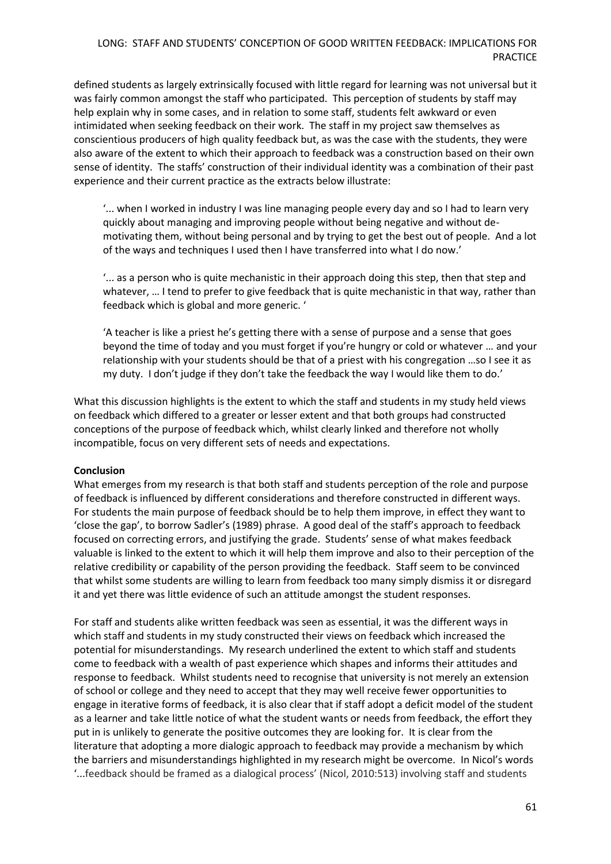defined students as largely extrinsically focused with little regard for learning was not universal but it was fairly common amongst the staff who participated. This perception of students by staff may help explain why in some cases, and in relation to some staff, students felt awkward or even intimidated when seeking feedback on their work. The staff in my project saw themselves as conscientious producers of high quality feedback but, as was the case with the students, they were also aware of the extent to which their approach to feedback was a construction based on their own sense of identity. The staffs' construction of their individual identity was a combination of their past experience and their current practice as the extracts below illustrate:

'... when I worked in industry I was line managing people every day and so I had to learn very quickly about managing and improving people without being negative and without demotivating them, without being personal and by trying to get the best out of people. And a lot of the ways and techniques I used then I have transferred into what I do now.'

'... as a person who is quite mechanistic in their approach doing this step, then that step and whatever, ... I tend to prefer to give feedback that is quite mechanistic in that way, rather than feedback which is global and more generic. '

'A teacher is like a priest he's getting there with a sense of purpose and a sense that goes beyond the time of today and you must forget if you're hungry or cold or whatever … and your relationship with your students should be that of a priest with his congregation …so I see it as my duty. I don't judge if they don't take the feedback the way I would like them to do.'

What this discussion highlights is the extent to which the staff and students in my study held views on feedback which differed to a greater or lesser extent and that both groups had constructed conceptions of the purpose of feedback which, whilst clearly linked and therefore not wholly incompatible, focus on very different sets of needs and expectations.

#### **Conclusion**

What emerges from my research is that both staff and students perception of the role and purpose of feedback is influenced by different considerations and therefore constructed in different ways. For students the main purpose of feedback should be to help them improve, in effect they want to 'close the gap', to borrow Sadler's (1989) phrase. A good deal of the staff's approach to feedback focused on correcting errors, and justifying the grade. Students' sense of what makes feedback valuable is linked to the extent to which it will help them improve and also to their perception of the relative credibility or capability of the person providing the feedback. Staff seem to be convinced that whilst some students are willing to learn from feedback too many simply dismiss it or disregard it and yet there was little evidence of such an attitude amongst the student responses.

For staff and students alike written feedback was seen as essential, it was the different ways in which staff and students in my study constructed their views on feedback which increased the potential for misunderstandings. My research underlined the extent to which staff and students come to feedback with a wealth of past experience which shapes and informs their attitudes and response to feedback. Whilst students need to recognise that university is not merely an extension of school or college and they need to accept that they may well receive fewer opportunities to engage in iterative forms of feedback, it is also clear that if staff adopt a deficit model of the student as a learner and take little notice of what the student wants or needs from feedback, the effort they put in is unlikely to generate the positive outcomes they are looking for. It is clear from the literature that adopting a more dialogic approach to feedback may provide a mechanism by which the barriers and misunderstandings highlighted in my research might be overcome. In Nicol's words '...feedback should be framed as a dialogical process' (Nicol, 2010:513) involving staff and students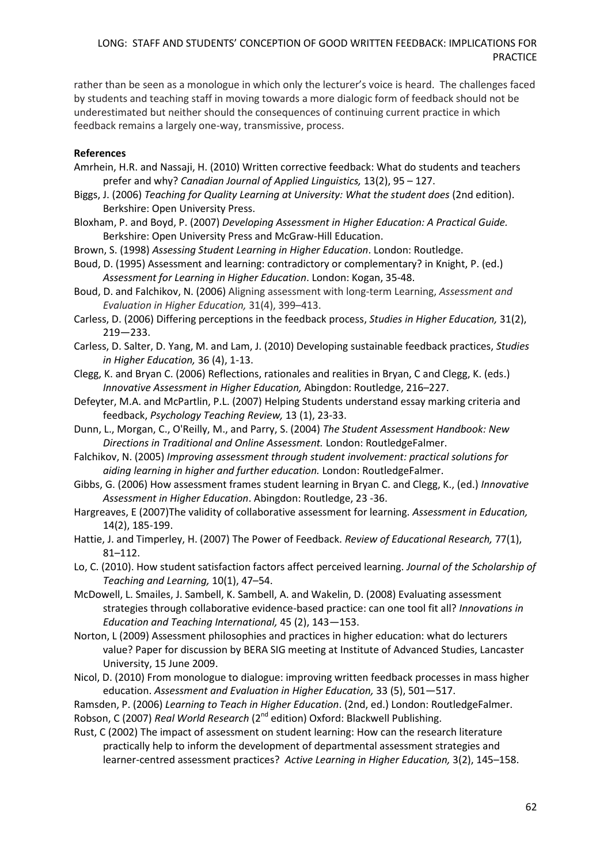rather than be seen as a monologue in which only the lecturer's voice is heard. The challenges faced by students and teaching staff in moving towards a more dialogic form of feedback should not be underestimated but neither should the consequences of continuing current practice in which feedback remains a largely one-way, transmissive, process.

### **References**

- Amrhein, H.R. and Nassaji, H. (2010) Written corrective feedback: What do students and teachers prefer and why? *Canadian Journal of Applied Linguistics,* 13(2), 95 – 127.
- Biggs, J. (2006) *Teaching for Quality Learning at University: What the student does* (2nd edition). Berkshire: Open University Press.
- Bloxham, P. and Boyd, P. (2007) *Developing Assessment in Higher Education: A Practical Guide.* Berkshire: Open University Press and McGraw-Hill Education.
- Brown, S. (1998) *Assessing Student Learning in Higher Education*. London: Routledge.
- Boud, D. (1995) Assessment and learning: contradictory or complementary? in Knight, P. (ed.) *Assessment for Learning in Higher Education*. London: Kogan, 35-48.
- Boud, D. and Falchikov, N. (2006) Aligning assessment with long-term Learning, *Assessment and Evaluation in Higher Education,* 31(4), 399–413.
- Carless, D. (2006) Differing perceptions in the feedback process, *Studies in Higher Education,* 31(2), 219—233.
- Carless, D. Salter, D. Yang, M. and Lam, J. (2010) Developing sustainable feedback practices, *Studies in Higher Education,* 36 (4), 1-13.
- Clegg, K. and Bryan C. (2006) Reflections, rationales and realities in Bryan, C and Clegg, K. (eds.) *Innovative Assessment in Higher Education,* Abingdon: Routledge, 216–227.
- Defeyter, M.A. and McPartlin, P.L. (2007) Helping Students understand essay marking criteria and feedback, *Psychology Teaching Review,* 13 (1), 23-33.
- Dunn, L., Morgan, C., O'Reilly, M., and Parry, S. (2004) *The Student Assessment Handbook: New Directions in Traditional and Online Assessment.* London: RoutledgeFalmer.
- Falchikov, N. (2005) *Improving assessment through student involvement: practical solutions for aiding learning in higher and further education.* London: RoutledgeFalmer.
- Gibbs, G. (2006) How assessment frames student learning in Bryan C. and Clegg, K., (ed.) *Innovative Assessment in Higher Education*. Abingdon: Routledge, 23 -36.
- Hargreaves, E (2007)The validity of collaborative assessment for learning. *Assessment in Education,* 14(2), 185-199.
- Hattie, J. and Timperley, H. (2007) The Power of Feedback. *Review of Educational Research,* 77(1), 81–112.
- Lo, C. (2010). How student satisfaction factors affect perceived learning. *Journal of the Scholarship of Teaching and Learning,* 10(1), 47–54.
- McDowell, L. Smailes, J. Sambell, K. Sambell, A. and Wakelin, D. (2008) Evaluating assessment strategies through collaborative evidence-based practice: can one tool fit all? *Innovations in Education and Teaching International,* 45 (2), 143—153.
- Norton, L (2009) Assessment philosophies and practices in higher education: what do lecturers value? Paper for discussion by BERA SIG meeting at Institute of Advanced Studies, Lancaster University, 15 June 2009.
- Nicol, D. (2010) From monologue to dialogue: improving written feedback processes in mass higher education. *Assessment and Evaluation in Higher Education,* 33 (5), 501—517.

Ramsden, P. (2006) *Learning to Teach in Higher Education*. (2nd, ed.) London: RoutledgeFalmer. Robson, C (2007) *Real World Research* (2<sup>nd</sup> edition) Oxford: Blackwell Publishing.

Rust, C (2002) The impact of assessment on student learning: How can the research literature practically help to inform the development of departmental assessment strategies and learner-centred assessment practices? *Active Learning in Higher Education,* 3(2), 145–158.